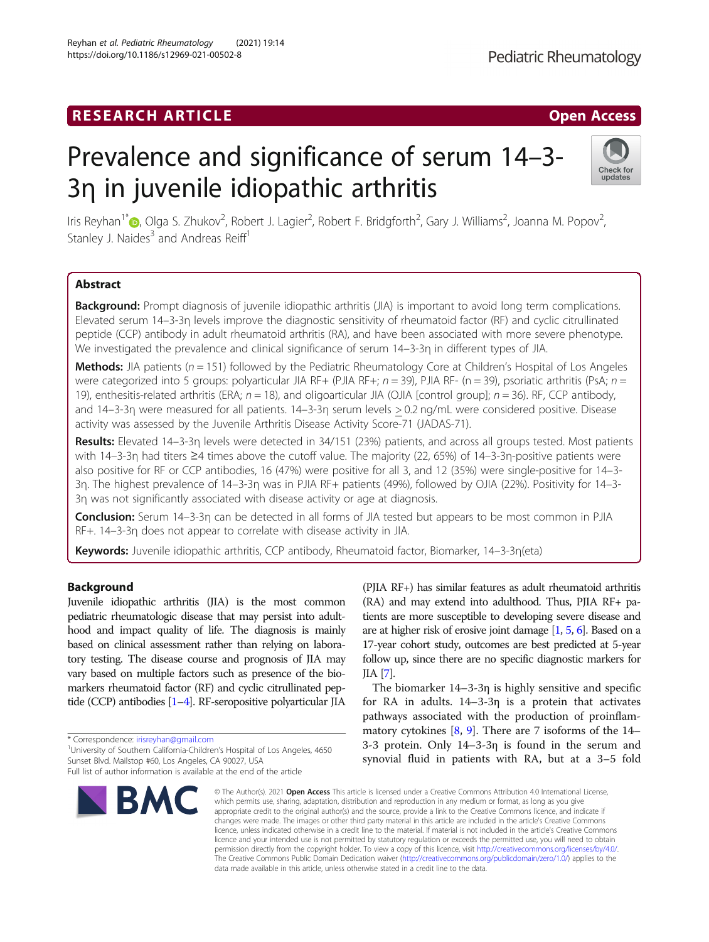# RESEARCH ARTICLE **External of the Contract Contract Contract Contract Contract Contract Contract Contract Contract Contract Contract Contract Contract Contract Contract Contract Contract Contract Contract Contract Contract**

# Prevalence and significance of serum 14–3- 3η in juvenile idiopathic arthritis

Iris Reyhan<sup>1[\\*](http://orcid.org/0000-0002-7917-0402)</sup>@, Olga S. Zhukov<sup>2</sup>, Robert J. Lagier<sup>2</sup>, Robert F. Bridgforth<sup>2</sup>, Gary J. Williams<sup>2</sup>, Joanna M. Popov<sup>2</sup> .<br>, Stanley J. Naides $3$  and Andreas Reiff<sup>1</sup>

# Abstract

Background: Prompt diagnosis of juvenile idiopathic arthritis (JIA) is important to avoid long term complications. Elevated serum 14–3-3η levels improve the diagnostic sensitivity of rheumatoid factor (RF) and cyclic citrullinated peptide (CCP) antibody in adult rheumatoid arthritis (RA), and have been associated with more severe phenotype. We investigated the prevalence and clinical significance of serum 14–3-3η in different types of JIA.

**Methods:** JIA patients ( $n = 151$ ) followed by the Pediatric Rheumatology Core at Children's Hospital of Los Angeles were categorized into 5 groups: polyarticular JIA RF+ (PJIA RF+;  $n = 39$ ), PJIA RF- (n = 39), psoriatic arthritis (PsA;  $n =$ 19), enthesitis-related arthritis (ERA;  $n = 18$ ), and oligoarticular JIA (OJIA [control group];  $n = 36$ ). RF, CCP antibody, and 14–3-3η were measured for all patients. 14–3-3η serum levels > 0.2 ng/mL were considered positive. Disease activity was assessed by the Juvenile Arthritis Disease Activity Score-71 (JADAS-71).

Results: Elevated 14–3-3η levels were detected in 34/151 (23%) patients, and across all groups tested. Most patients with 14–3-3η had titers ≥4 times above the cutoff value. The majority (22, 65%) of 14–3-3η-positive patients were also positive for RF or CCP antibodies, 16 (47%) were positive for all 3, and 12 (35%) were single-positive for 14–3- 3η. The highest prevalence of 14–3-3η was in PJIA RF+ patients (49%), followed by OJIA (22%). Positivity for 14–3- 3η was not significantly associated with disease activity or age at diagnosis.

Conclusion: Serum 14–3-3η can be detected in all forms of JIA tested but appears to be most common in PJIA RF+. 14–3-3η does not appear to correlate with disease activity in JIA.

Keywords: Juvenile idiopathic arthritis, CCP antibody, Rheumatoid factor, Biomarker, 14-3-3η (eta)

# Background

Juvenile idiopathic arthritis (JIA) is the most common pediatric rheumatologic disease that may persist into adulthood and impact quality of life. The diagnosis is mainly based on clinical assessment rather than relying on laboratory testing. The disease course and prognosis of JIA may vary based on multiple factors such as presence of the biomarkers rheumatoid factor (RF) and cyclic citrullinated peptide (CCP) antibodies [\[1](#page-6-0)–[4](#page-6-0)]. RF-seropositive polyarticular JIA

\* Correspondence: [irisreyhan@gmail.com](mailto:irisreyhan@gmail.com) <sup>1</sup>

<sup>1</sup> University of Southern California-Children's Hospital of Los Angeles, 4650 Sunset Blvd. Mailstop #60, Los Angeles, CA 90027, USA

Reyhan et al. Pediatric Rheumatology (2021) 19:14 https://doi.org/10.1186/s12969-021-00502-8



(PJIA RF+) has similar features as adult rheumatoid arthritis (RA) and may extend into adulthood. Thus, PJIA RF+ patients are more susceptible to developing severe disease and are at higher risk of erosive joint damage [\[1,](#page-6-0) [5](#page-6-0), [6](#page-6-0)]. Based on a 17-year cohort study, outcomes are best predicted at 5-year follow up, since there are no specific diagnostic markers for JIA [[7](#page-7-0)].

The biomarker 14–3-3η is highly sensitive and specific for RA in adults. 14–3-3η is a protein that activates pathways associated with the production of proinflammatory cytokines  $[8, 9]$  $[8, 9]$  $[8, 9]$  $[8, 9]$ . There are 7 isoforms of the 14– 3-3 protein. Only 14–3-3η is found in the serum and synovial fluid in patients with RA, but at a 3–5 fold

© The Author(s), 2021 **Open Access** This article is licensed under a Creative Commons Attribution 4.0 International License, which permits use, sharing, adaptation, distribution and reproduction in any medium or format, as long as you give appropriate credit to the original author(s) and the source, provide a link to the Creative Commons licence, and indicate if changes were made. The images or other third party material in this article are included in the article's Creative Commons licence, unless indicated otherwise in a credit line to the material. If material is not included in the article's Creative Commons licence and your intended use is not permitted by statutory regulation or exceeds the permitted use, you will need to obtain permission directly from the copyright holder. To view a copy of this licence, visit [http://creativecommons.org/licenses/by/4.0/.](http://creativecommons.org/licenses/by/4.0/) The Creative Commons Public Domain Dedication waiver [\(http://creativecommons.org/publicdomain/zero/1.0/](http://creativecommons.org/publicdomain/zero/1.0/)) applies to the data made available in this article, unless otherwise stated in a credit line to the data.



updates

Full list of author information is available at the end of the article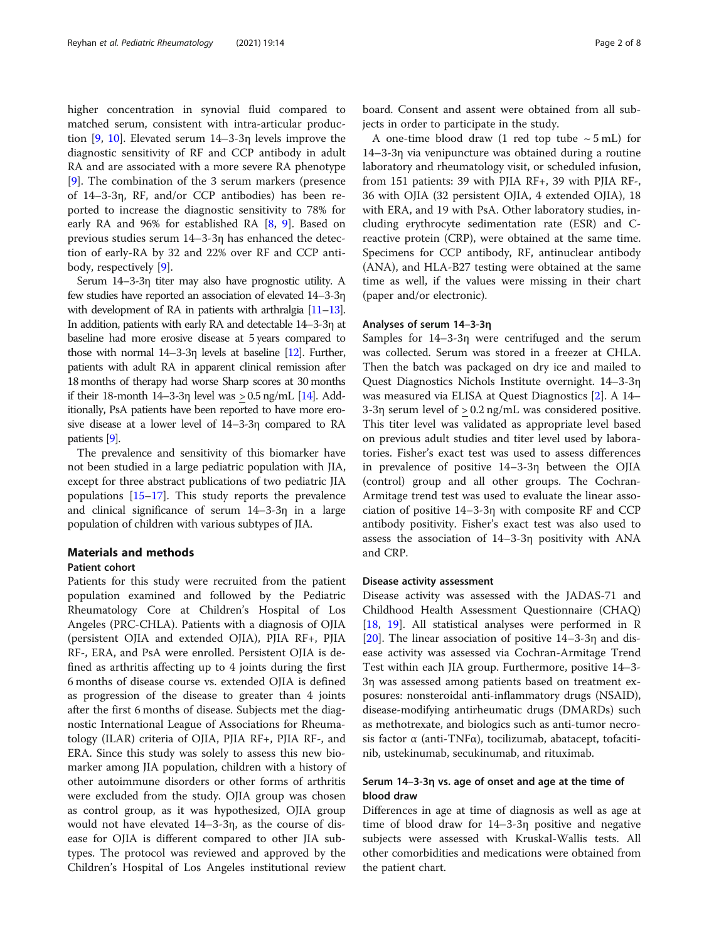higher concentration in synovial fluid compared to matched serum, consistent with intra-articular production [[9,](#page-7-0) [10](#page-7-0)]. Elevated serum 14–3-3η levels improve the diagnostic sensitivity of RF and CCP antibody in adult RA and are associated with a more severe RA phenotype [[9\]](#page-7-0). The combination of the 3 serum markers (presence of 14–3-3η, RF, and/or CCP antibodies) has been reported to increase the diagnostic sensitivity to 78% for early RA and 96% for established RA [\[8](#page-7-0), [9\]](#page-7-0). Based on previous studies serum 14–3-3η has enhanced the detection of early-RA by 32 and 22% over RF and CCP antibody, respectively [\[9](#page-7-0)].

Serum 14–3-3η titer may also have prognostic utility. A few studies have reported an association of elevated 14–3-3η with development of RA in patients with arthralgia [\[11](#page-7-0)–[13\]](#page-7-0). In addition, patients with early RA and detectable 14–3-3η at baseline had more erosive disease at 5 years compared to those with normal 14–3-3η levels at baseline [\[12](#page-7-0)]. Further, patients with adult RA in apparent clinical remission after 18 months of therapy had worse Sharp scores at 30 months if their 18-month 14–3-3η level was  $> 0.5$  ng/mL [\[14](#page-7-0)]. Additionally, PsA patients have been reported to have more erosive disease at a lower level of 14–3-3η compared to RA patients [\[9\]](#page-7-0).

The prevalence and sensitivity of this biomarker have not been studied in a large pediatric population with JIA, except for three abstract publications of two pediatric JIA populations [[15](#page-7-0)–[17\]](#page-7-0). This study reports the prevalence and clinical significance of serum 14–3-3η in a large population of children with various subtypes of JIA.

# Materials and methods

#### Patient cohort

Patients for this study were recruited from the patient population examined and followed by the Pediatric Rheumatology Core at Children's Hospital of Los Angeles (PRC-CHLA). Patients with a diagnosis of OJIA (persistent OJIA and extended OJIA), PJIA RF+, PJIA RF-, ERA, and PsA were enrolled. Persistent OJIA is defined as arthritis affecting up to 4 joints during the first 6 months of disease course vs. extended OJIA is defined as progression of the disease to greater than 4 joints after the first 6 months of disease. Subjects met the diagnostic International League of Associations for Rheumatology (ILAR) criteria of OJIA, PJIA RF+, PJIA RF-, and ERA. Since this study was solely to assess this new biomarker among JIA population, children with a history of other autoimmune disorders or other forms of arthritis were excluded from the study. OJIA group was chosen as control group, as it was hypothesized, OJIA group would not have elevated 14–3-3η, as the course of disease for OJIA is different compared to other JIA subtypes. The protocol was reviewed and approved by the Children's Hospital of Los Angeles institutional review

board. Consent and assent were obtained from all subjects in order to participate in the study.

A one-time blood draw (1 red top tube  $\sim$  5 mL) for 14–3-3η via venipuncture was obtained during a routine laboratory and rheumatology visit, or scheduled infusion, from 151 patients: 39 with PJIA RF+, 39 with PJIA RF-, 36 with OJIA (32 persistent OJIA, 4 extended OJIA), 18 with ERA, and 19 with PsA. Other laboratory studies, including erythrocyte sedimentation rate (ESR) and Creactive protein (CRP), were obtained at the same time. Specimens for CCP antibody, RF, antinuclear antibody (ANA), and HLA-B27 testing were obtained at the same time as well, if the values were missing in their chart (paper and/or electronic).

#### Analyses of serum 14–3-3η

Samples for 14–3-3η were centrifuged and the serum was collected. Serum was stored in a freezer at CHLA. Then the batch was packaged on dry ice and mailed to Quest Diagnostics Nichols Institute overnight. 14–3-3η was measured via ELISA at Quest Diagnostics [[2\]](#page-6-0). A 14– 3-3η serum level of > 0.2 ng/mL was considered positive. This titer level was validated as appropriate level based on previous adult studies and titer level used by laboratories. Fisher's exact test was used to assess differences in prevalence of positive 14–3-3η between the OJIA (control) group and all other groups. The Cochran-Armitage trend test was used to evaluate the linear association of positive 14–3-3η with composite RF and CCP antibody positivity. Fisher's exact test was also used to assess the association of 14–3-3η positivity with ANA and CRP.

#### Disease activity assessment

Disease activity was assessed with the JADAS-71 and Childhood Health Assessment Questionnaire (CHAQ) [[18,](#page-7-0) [19](#page-7-0)]. All statistical analyses were performed in R [[20\]](#page-7-0). The linear association of positive 14–3-3η and disease activity was assessed via Cochran-Armitage Trend Test within each JIA group. Furthermore, positive 14–3- 3η was assessed among patients based on treatment exposures: nonsteroidal anti-inflammatory drugs (NSAID), disease-modifying antirheumatic drugs (DMARDs) such as methotrexate, and biologics such as anti-tumor necrosis factor α (anti-TNFα), tocilizumab, abatacept, tofacitinib, ustekinumab, secukinumab, and rituximab.

# Serum 14–3-3η vs. age of onset and age at the time of blood draw

Differences in age at time of diagnosis as well as age at time of blood draw for 14–3-3η positive and negative subjects were assessed with Kruskal-Wallis tests. All other comorbidities and medications were obtained from the patient chart.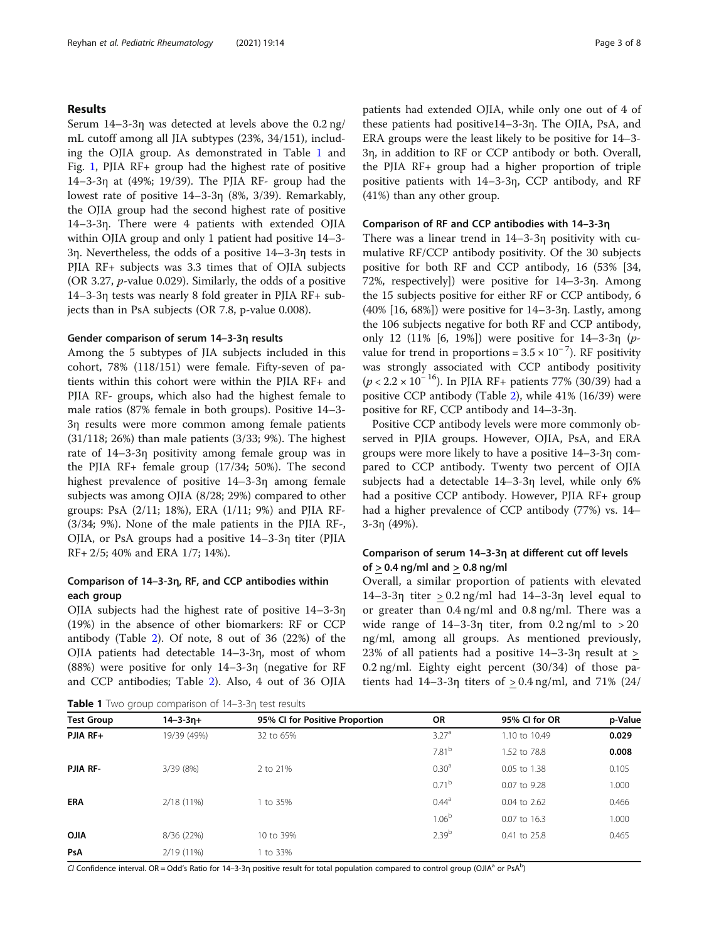# Results

Serum 14–3-3η was detected at levels above the 0.2 ng/ mL cutoff among all JIA subtypes (23%, 34/151), including the OJIA group. As demonstrated in Table 1 and Fig. [1](#page-3-0), PJIA RF+ group had the highest rate of positive 14–3-3η at (49%; 19/39). The PJIA RF- group had the lowest rate of positive 14–3-3η (8%, 3/39). Remarkably, the OJIA group had the second highest rate of positive 14–3-3η. There were 4 patients with extended OJIA within OJIA group and only 1 patient had positive 14–3- 3η. Nevertheless, the odds of a positive 14–3-3η tests in PJIA RF+ subjects was 3.3 times that of OJIA subjects (OR 3.27, p-value 0.029). Similarly, the odds of a positive 14–3-3η tests was nearly 8 fold greater in PJIA RF+ subjects than in PsA subjects (OR 7.8, p-value 0.008).

#### Gender comparison of serum 14–3-3η results

Among the 5 subtypes of JIA subjects included in this cohort, 78% (118/151) were female. Fifty-seven of patients within this cohort were within the PJIA RF+ and PJIA RF- groups, which also had the highest female to male ratios (87% female in both groups). Positive 14–3- 3η results were more common among female patients (31/118; 26%) than male patients (3/33; 9%). The highest rate of 14–3-3η positivity among female group was in the PJIA RF+ female group (17/34; 50%). The second highest prevalence of positive 14–3-3η among female subjects was among OJIA (8/28; 29%) compared to other groups: PsA (2/11; 18%), ERA (1/11; 9%) and PJIA RF- (3/34; 9%). None of the male patients in the PJIA RF-, OJIA, or PsA groups had a positive 14–3-3η titer (PJIA RF+ 2/5; 40% and ERA 1/7; 14%).

# Comparison of 14–3-3η, RF, and CCP antibodies within each group

OJIA subjects had the highest rate of positive 14–3-3η (19%) in the absence of other biomarkers: RF or CCP antibody (Table [2](#page-3-0)). Of note, 8 out of 36 (22%) of the OJIA patients had detectable 14–3-3η, most of whom (88%) were positive for only 14–3-3η (negative for RF and CCP antibodies; Table [2](#page-3-0)). Also, 4 out of 36 OJIA patients had extended OJIA, while only one out of 4 of these patients had positive14–3-3η. The OJIA, PsA, and ERA groups were the least likely to be positive for 14–3- 3η, in addition to RF or CCP antibody or both. Overall, the PJIA RF+ group had a higher proportion of triple positive patients with 14–3-3η, CCP antibody, and RF (41%) than any other group.

#### Comparison of RF and CCP antibodies with 14–3-3η

There was a linear trend in 14–3-3η positivity with cumulative RF/CCP antibody positivity. Of the 30 subjects positive for both RF and CCP antibody, 16 (53% [34, 72%, respectively]) were positive for 14–3-3η. Among the 15 subjects positive for either RF or CCP antibody, 6 (40% [16, 68%]) were positive for 14–3-3η. Lastly, among the 106 subjects negative for both RF and CCP antibody, only 12 (11% [6, 19%]) were positive for 14–3-3η (pvalue for trend in proportions =  $3.5 \times 10^{-7}$ ). RF positivity was strongly associated with CCP antibody positivity  $(p < 2.2 \times 10^{-16})$ . In PJIA RF+ patients 77% (30/39) had a positive CCP antibody (Table [2\)](#page-3-0), while 41% (16/39) were positive for RF, CCP antibody and 14–3-3η.

Positive CCP antibody levels were more commonly observed in PJIA groups. However, OJIA, PsA, and ERA groups were more likely to have a positive 14–3-3η compared to CCP antibody. Twenty two percent of OJIA subjects had a detectable 14–3-3η level, while only 6% had a positive CCP antibody. However, PJIA RF+ group had a higher prevalence of CCP antibody (77%) vs. 14– 3-3η (49%).

# Comparison of serum 14–3-3η at different cut off levels of  $> 0.4$  ng/ml and  $> 0.8$  ng/ml

Overall, a similar proportion of patients with elevated 14–3-3η titer > 0.2 ng/ml had 14–3-3η level equal to or greater than 0.4 ng/ml and 0.8 ng/ml. There was a wide range of  $14-3-3\eta$  titer, from  $0.2 \text{ ng/ml}$  to  $> 20$ ng/ml, among all groups. As mentioned previously, 23% of all patients had a positive 14–3-3η result at > 0.2 ng/ml. Eighty eight percent (30/34) of those patients had  $14-3-3\eta$  titers of  $> 0.4$  ng/ml, and  $71\%$  (24/

Table 1 Two group comparison of 14-3-3η test results

| <b>Table 1</b> I wo group comparison of 14–3-3n test results |                 |                                |                   |                |         |
|--------------------------------------------------------------|-----------------|--------------------------------|-------------------|----------------|---------|
| <b>Test Group</b>                                            | $14 - 3 - 3n +$ | 95% CI for Positive Proportion | OR                | 95% CI for OR  | p-Value |
| $PJIA$ RF+                                                   | 19/39 (49%)     | 32 to 65%                      | 3.27 <sup>a</sup> | 1.10 to 10.49  | 0.029   |
|                                                              |                 |                                | 7.81 <sup>b</sup> | 1.52 to 78.8   | 0.008   |
| PJIA RF-                                                     | 3/39 (8%)       | 2 to 21%                       | 0.30 <sup>a</sup> | 0.05 to 1.38   | 0.105   |
|                                                              |                 |                                | $0.71^{b}$        | $0.07$ to 9.28 | 1.000   |
| <b>ERA</b>                                                   | $2/18(11\%)$    | 1 to 35%                       | $0.44^{\circ}$    | 0.04 to 2.62   | 0.466   |
|                                                              |                 |                                | 1.06 <sup>b</sup> | 0.07 to 16.3   | 1.000   |
| <b>AILO</b>                                                  | 8/36 (22%)      | 10 to 39%                      | $2.39^{b}$        | 0.41 to 25.8   | 0.465   |
| PsA                                                          | 2/19 (11%)      | 1 to 33%                       |                   |                |         |

CI Confidence interval. OR = Odd's Ratio for 14–3-3η positive result for total population compared to control group (OJIA<sup>a</sup> or PsA<sup>b</sup>)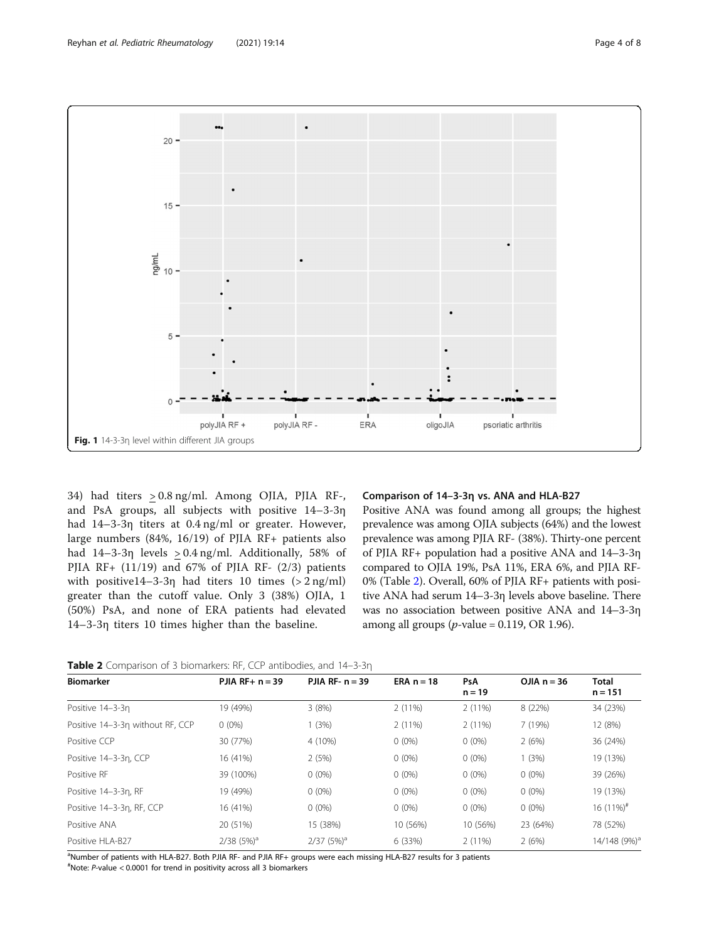<span id="page-3-0"></span>

34) had titers > 0.8 ng/ml. Among OJIA, PJIA RF-, and PsA groups, all subjects with positive 14–3-3η had 14–3-3η titers at 0.4 ng/ml or greater. However, large numbers (84%, 16/19) of PJIA RF+ patients also had 14–3-3η levels > 0.4 ng/ml. Additionally, 58% of PJIA RF+  $(11/19)$  and 67% of PJIA RF-  $(2/3)$  patients with positive14–3-3η had titers 10 times  $(> 2 \text{ ng/ml})$ greater than the cutoff value. Only 3 (38%) OJIA, 1 (50%) PsA, and none of ERA patients had elevated 14–3-3η titers 10 times higher than the baseline.

#### Comparison of 14–3-3η vs. ANA and HLA-B27

Positive ANA was found among all groups; the highest prevalence was among OJIA subjects (64%) and the lowest prevalence was among PJIA RF- (38%). Thirty-one percent of PJIA RF+ population had a positive ANA and 14–3-3η compared to OJIA 19%, PsA 11%, ERA 6%, and PJIA RF-0% (Table 2). Overall, 60% of PJIA RF+ patients with positive ANA had serum 14–3-3η levels above baseline. There was no association between positive ANA and 14–3-3η among all groups ( $p$ -value = 0.119, OR 1.96).

Table 2 Comparison of 3 biomarkers: RF, CCP antibodies, and 14-3-3n

| PJIA RF+ $n = 39$        | PJIA RF- $n = 39$     | ERA $n = 18$ | <b>PsA</b><br>$n = 19$ | OJIA $n = 36$ | <b>Total</b><br>$n = 151$ |
|--------------------------|-----------------------|--------------|------------------------|---------------|---------------------------|
| 19 (49%)                 | 3(8%)                 | $2(11\%)$    | 2(11%)                 | 8 (22%)       | 34 (23%)                  |
| $0(0\%)$                 | (3%)                  | $2(11\%)$    | $2(11\%)$              | 7 (19%)       | 12 (8%)                   |
| 30 (77%)                 | 4 (10%)               | $0(0\%)$     | $0(0\%)$               | 2(6%)         | 36 (24%)                  |
| 16 (41%)                 | 2(5%)                 | $0(0\%)$     | $0(0\%)$               | 1(3%)         | 19 (13%)                  |
| 39 (100%)                | $0(0\%)$              | $0(0\%)$     | $0(0\%)$               | $0(0\%)$      | 39 (26%)                  |
| 19 (49%)                 | $0(0\%)$              | $0(0\%)$     | $0(0\%)$               | $0(0\%)$      | 19 (13%)                  |
| 16 (41%)                 | $0(0\%)$              | $0(0\%)$     | $0(0\%)$               | $0(0\%)$      | $16(11\%)^{\#}$           |
| 20 (51%)                 | 15 (38%)              | 10 (56%)     | 10 (56%)               | 23 (64%)      | 78 (52%)                  |
| $2/38$ (5%) <sup>a</sup> | 2/37(5%) <sup>a</sup> | 6 (33%)      | 2(11%)                 | 2(6%)         | 14/148 (9%) <sup>a</sup>  |
|                          |                       |              |                        |               |                           |

a Number of patients with HLA-B27. Both PJIA RF- and PJIA RF+ groups were each missing HLA-B27 results for 3 patients

# Note: P-value < 0.0001 for trend in positivity across all 3 biomarkers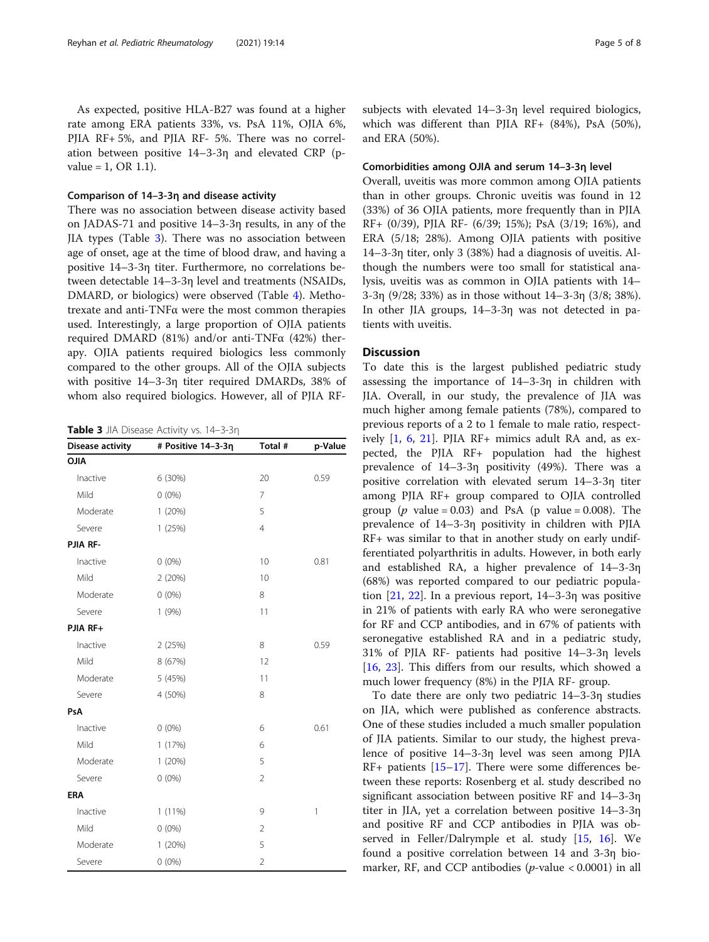As expected, positive HLA-B27 was found at a higher rate among ERA patients 33%, vs. PsA 11%, OJIA 6%, PJIA RF+ 5%, and PJIA RF- 5%. There was no correlation between positive 14–3-3η and elevated CRP (pvalue = 1, OR 1.1).

# Comparison of 14–3-3η and disease activity

There was no association between disease activity based on JADAS-71 and positive 14–3-3η results, in any of the JIA types (Table 3). There was no association between age of onset, age at the time of blood draw, and having a positive 14–3-3η titer. Furthermore, no correlations between detectable 14–3-3η level and treatments (NSAIDs, DMARD, or biologics) were observed (Table [4\)](#page-5-0). Methotrexate and anti-TNFα were the most common therapies used. Interestingly, a large proportion of OJIA patients required DMARD (81%) and/or anti-TNFα (42%) therapy. OJIA patients required biologics less commonly compared to the other groups. All of the OJIA subjects with positive 14–3-3η titer required DMARDs, 38% of whom also required biologics. However, all of PJIA RF-

Table 3 JIA Disease Activity vs. 14-3-3η

| <b>Disease activity</b> | # Positive 14-3-3η | Total #        | p-Value      |  |
|-------------------------|--------------------|----------------|--------------|--|
| <b>OJIA</b>             |                    |                |              |  |
| Inactive                | 6 (30%)            | 20             | 0.59         |  |
| Mild                    | $0(0\%)$           | $\overline{7}$ |              |  |
| Moderate                | 1(20%)             | 5              |              |  |
| Severe                  | 1(25%)             | $\overline{4}$ |              |  |
| PJIA RF-                |                    |                |              |  |
| Inactive                | $0(0\%)$           | 10             | 0.81         |  |
| Mild                    | 2(20%)             | 10             |              |  |
| Moderate                | $0(0\%)$           | 8              |              |  |
| Severe                  | 1(9%)              | 11             |              |  |
| PJIA RF+                |                    |                |              |  |
| Inactive                | 2(25%)             | 8              | 0.59         |  |
| Mild                    | 8 (67%)            | 12             |              |  |
| Moderate                | 5 (45%)            | 11             |              |  |
| Severe                  | 4 (50%)            | 8              |              |  |
| PsA                     |                    |                |              |  |
| Inactive                | $0(0\%)$           | 6              | 0.61         |  |
| Mild                    | 1(17%)             | 6              |              |  |
| Moderate                | 1(20%)             | 5              |              |  |
| Severe                  | $0(0\%)$           | $\overline{2}$ |              |  |
| <b>ERA</b>              |                    |                |              |  |
| Inactive                | $1(11\%)$          | 9              | $\mathbf{1}$ |  |
| Mild                    | $0(0\%)$           | $\overline{2}$ |              |  |
| Moderate                | 1(20%)             | 5              |              |  |
| Severe                  | $0(0\%)$           | $\overline{2}$ |              |  |

subjects with elevated 14–3-3η level required biologics, which was different than PJIA RF+ (84%), PsA (50%), and ERA (50%).

# Comorbidities among OJIA and serum 14–3-3η level

Overall, uveitis was more common among OJIA patients than in other groups. Chronic uveitis was found in 12 (33%) of 36 OJIA patients, more frequently than in PJIA RF+ (0/39), PJIA RF- (6/39; 15%); PsA (3/19; 16%), and ERA (5/18; 28%). Among OJIA patients with positive 14–3-3η titer, only 3 (38%) had a diagnosis of uveitis. Although the numbers were too small for statistical analysis, uveitis was as common in OJIA patients with 14– 3-3η (9/28; 33%) as in those without 14–3-3η (3/8; 38%). In other JIA groups, 14–3-3η was not detected in patients with uveitis.

#### **Discussion**

To date this is the largest published pediatric study assessing the importance of 14–3-3η in children with JIA. Overall, in our study, the prevalence of JIA was much higher among female patients (78%), compared to previous reports of a 2 to 1 female to male ratio, respectively [\[1](#page-6-0), [6,](#page-6-0) [21\]](#page-7-0). PJIA RF+ mimics adult RA and, as expected, the PJIA RF+ population had the highest prevalence of 14–3-3η positivity (49%). There was a positive correlation with elevated serum 14–3-3η titer among PJIA RF+ group compared to OJIA controlled group ( $p$  value = 0.03) and PsA ( $p$  value = 0.008). The prevalence of 14–3-3η positivity in children with PJIA RF+ was similar to that in another study on early undifferentiated polyarthritis in adults. However, in both early and established RA, a higher prevalence of 14–3-3η (68%) was reported compared to our pediatric population  $[21, 22]$  $[21, 22]$  $[21, 22]$  $[21, 22]$ . In a previous report,  $14-3-3\eta$  was positive in 21% of patients with early RA who were seronegative for RF and CCP antibodies, and in 67% of patients with seronegative established RA and in a pediatric study, 31% of PJIA RF- patients had positive 14–3-3η levels [[16,](#page-7-0) [23\]](#page-7-0). This differs from our results, which showed a much lower frequency (8%) in the PJIA RF- group.

To date there are only two pediatric 14–3-3η studies on JIA, which were published as conference abstracts. One of these studies included a much smaller population of JIA patients. Similar to our study, the highest prevalence of positive 14–3-3η level was seen among PJIA RF+ patients [\[15](#page-7-0)–[17\]](#page-7-0). There were some differences between these reports: Rosenberg et al. study described no significant association between positive RF and 14–3-3η titer in JIA, yet a correlation between positive 14–3-3η and positive RF and CCP antibodies in PJIA was observed in Feller/Dalrymple et al. study [\[15,](#page-7-0) [16\]](#page-7-0). We found a positive correlation between 14 and 3-3η biomarker, RF, and CCP antibodies ( $p$ -value < 0.0001) in all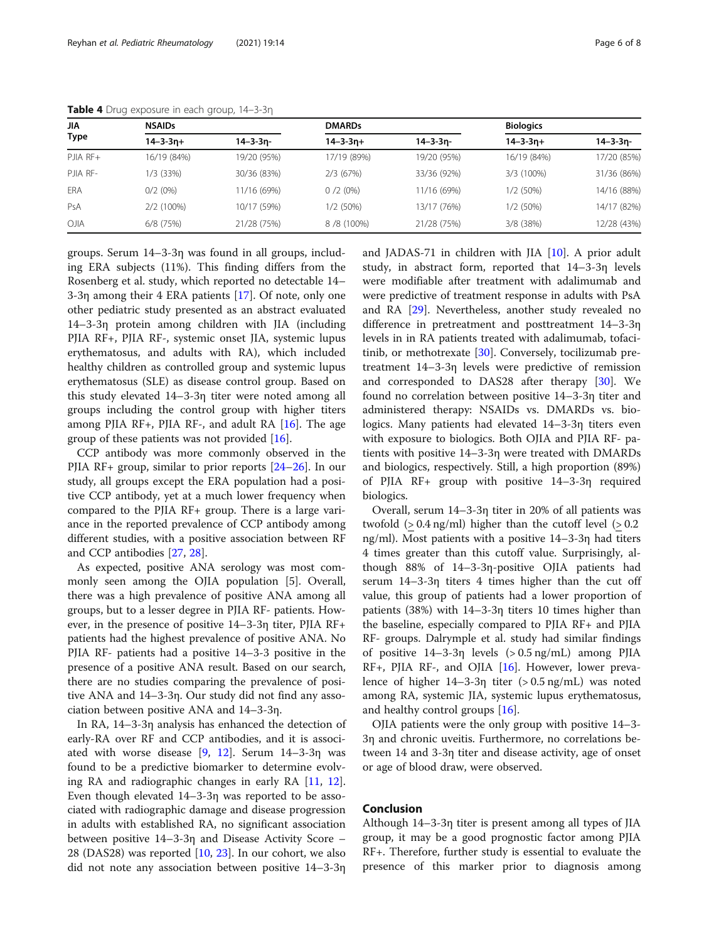| <b>NSAIDs</b>   |             | <b>DMARDs</b>   |                 | <b>Biologics</b> |                 |
|-----------------|-------------|-----------------|-----------------|------------------|-----------------|
| $14 - 3 - 3n +$ | 14–3-3n-    | $14 - 3 - 3n +$ | $14 - 3 - 3n -$ | $14 - 3 - 3n +$  | $14 - 3 - 3n -$ |
| 16/19 (84%)     | 19/20 (95%) | 17/19 (89%)     | 19/20 (95%)     | 16/19 (84%)      | 17/20 (85%)     |
| 1/3 (33%)       | 30/36 (83%) | 2/3(67%)        | 33/36 (92%)     | 3/3 (100%)       | 31/36 (86%)     |
| $0/2(0\%)$      | 11/16 (69%) | 0/2(0%)         | 11/16 (69%)     | 1/2(50%)         | 14/16 (88%)     |
| 2/2 (100%)      | 10/17 (59%) | 1/2(50%)        | 13/17 (76%)     | 1/2 (50%)        | 14/17 (82%)     |
| 6/8 (75%)       | 21/28 (75%) | 8/8 (100%)      | 21/28 (75%)     | 3/8 (38%)        | 12/28 (43%)     |
|                 |             |                 |                 |                  |                 |

<span id="page-5-0"></span>Table 4 Drug exposure in each group, 14-3-3η

groups. Serum 14–3-3η was found in all groups, including ERA subjects (11%). This finding differs from the Rosenberg et al. study, which reported no detectable 14– 3-3η among their 4 ERA patients [[17\]](#page-7-0). Of note, only one other pediatric study presented as an abstract evaluated 14–3-3η protein among children with JIA (including PJIA RF+, PJIA RF-, systemic onset JIA, systemic lupus erythematosus, and adults with RA), which included healthy children as controlled group and systemic lupus erythematosus (SLE) as disease control group. Based on this study elevated 14–3-3η titer were noted among all groups including the control group with higher titers among PJIA RF+, PJIA RF-, and adult RA  $[16]$  $[16]$  $[16]$ . The age group of these patients was not provided  $[16]$  $[16]$ .

CCP antibody was more commonly observed in the PJIA RF+ group, similar to prior reports [\[24](#page-7-0)–[26\]](#page-7-0). In our study, all groups except the ERA population had a positive CCP antibody, yet at a much lower frequency when compared to the PJIA RF+ group. There is a large variance in the reported prevalence of CCP antibody among different studies, with a positive association between RF and CCP antibodies [\[27](#page-7-0), [28](#page-7-0)].

As expected, positive ANA serology was most commonly seen among the OJIA population [5]. Overall, there was a high prevalence of positive ANA among all groups, but to a lesser degree in PJIA RF- patients. However, in the presence of positive 14–3-3η titer, PJIA RF+ patients had the highest prevalence of positive ANA. No PJIA RF- patients had a positive 14–3-3 positive in the presence of a positive ANA result. Based on our search, there are no studies comparing the prevalence of positive ANA and 14–3-3η. Our study did not find any association between positive ANA and 14–3-3η.

In RA, 14–3-3η analysis has enhanced the detection of early-RA over RF and CCP antibodies, and it is associated with worse disease [[9,](#page-7-0) [12](#page-7-0)]. Serum 14–3-3η was found to be a predictive biomarker to determine evolving RA and radiographic changes in early RA [\[11,](#page-7-0) [12](#page-7-0)]. Even though elevated 14–3-3η was reported to be associated with radiographic damage and disease progression in adults with established RA, no significant association between positive 14–3-3η and Disease Activity Score – 28 (DAS28) was reported [[10,](#page-7-0) [23\]](#page-7-0). In our cohort, we also did not note any association between positive 14–3-3η

and JADAS-71 in children with JIA [\[10\]](#page-7-0). A prior adult study, in abstract form, reported that 14–3-3η levels were modifiable after treatment with adalimumab and were predictive of treatment response in adults with PsA and RA [\[29](#page-7-0)]. Nevertheless, another study revealed no difference in pretreatment and posttreatment 14–3-3η levels in in RA patients treated with adalimumab, tofacitinib, or methotrexate [[30\]](#page-7-0). Conversely, tocilizumab pretreatment 14–3-3η levels were predictive of remission and corresponded to DAS28 after therapy [[30\]](#page-7-0). We found no correlation between positive 14–3-3η titer and administered therapy: NSAIDs vs. DMARDs vs. biologics. Many patients had elevated 14–3-3η titers even with exposure to biologics. Both OJIA and PJIA RF- patients with positive 14–3-3η were treated with DMARDs and biologics, respectively. Still, a high proportion (89%) of PJIA RF+ group with positive 14–3-3η required biologics.

Overall, serum 14–3-3η titer in 20% of all patients was twofold  $(> 0.4 \text{ ng/ml})$  higher than the cutoff level  $(> 0.2$ ng/ml). Most patients with a positive 14–3-3η had titers 4 times greater than this cutoff value. Surprisingly, although 88% of 14–3-3η-positive OJIA patients had serum 14–3-3η titers 4 times higher than the cut off value, this group of patients had a lower proportion of patients (38%) with 14–3-3η titers 10 times higher than the baseline, especially compared to PJIA RF+ and PJIA RF- groups. Dalrymple et al. study had similar findings of positive  $14-3-3\eta$  levels  $(> 0.5 \text{ ng/mL})$  among PJIA RF+, PJIA RF-, and OJIA [\[16](#page-7-0)]. However, lower prevalence of higher 14–3-3η titer (> 0.5 ng/mL) was noted among RA, systemic JIA, systemic lupus erythematosus, and healthy control groups [[16](#page-7-0)].

OJIA patients were the only group with positive 14–3- 3η and chronic uveitis. Furthermore, no correlations between 14 and 3-3η titer and disease activity, age of onset or age of blood draw, were observed.

## Conclusion

Although 14–3-3η titer is present among all types of JIA group, it may be a good prognostic factor among PJIA RF+. Therefore, further study is essential to evaluate the presence of this marker prior to diagnosis among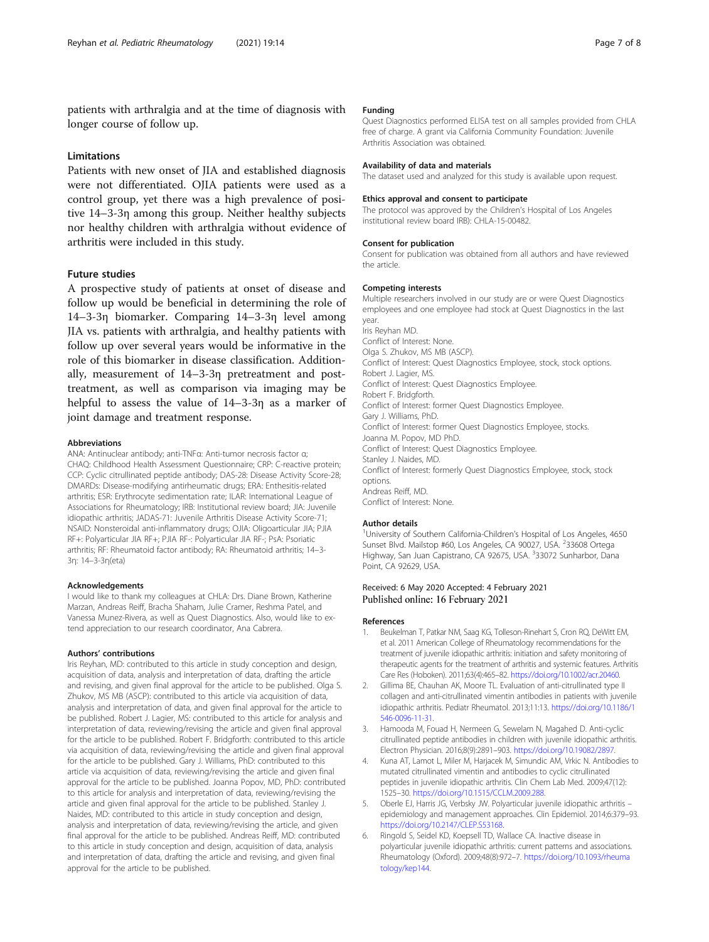<span id="page-6-0"></span>patients with arthralgia and at the time of diagnosis with longer course of follow up.

#### Limitations

Patients with new onset of JIA and established diagnosis were not differentiated. OJIA patients were used as a control group, yet there was a high prevalence of positive 14–3-3η among this group. Neither healthy subjects nor healthy children with arthralgia without evidence of arthritis were included in this study.

# Future studies

A prospective study of patients at onset of disease and follow up would be beneficial in determining the role of 14–3-3η biomarker. Comparing 14–3-3η level among JIA vs. patients with arthralgia, and healthy patients with follow up over several years would be informative in the role of this biomarker in disease classification. Additionally, measurement of 14–3-3η pretreatment and posttreatment, as well as comparison via imaging may be helpful to assess the value of 14–3-3η as a marker of joint damage and treatment response.

#### Abbreviations

ANA: Antinuclear antibody; anti-TNFα: Anti-tumor necrosis factor α; CHAQ: Childhood Health Assessment Questionnaire; CRP: C-reactive protein; CCP: Cyclic citrullinated peptide antibody; DAS-28: Disease Activity Score-28; DMARDs: Disease-modifying antirheumatic drugs; ERA: Enthesitis-related arthritis; ESR: Erythrocyte sedimentation rate; ILAR: International League of Associations for Rheumatology; IRB: Institutional review board; JIA: Juvenile idiopathic arthritis; JADAS-71: Juvenile Arthritis Disease Activity Score-71; NSAID: Nonsteroidal anti-inflammatory drugs; OJIA: Oligoarticular JIA; PJIA RF+: Polyarticular JIA RF+; PJIA RF-: Polyarticular JIA RF-; PsA: Psoriatic arthritis; RF: Rheumatoid factor antibody; RA: Rheumatoid arthritis; 14–3- 3η: 14–3-3η(eta)

#### Acknowledgements

I would like to thank my colleagues at CHLA: Drs. Diane Brown, Katherine Marzan, Andreas Reiff, Bracha Shaham, Julie Cramer, Reshma Patel, and Vanessa Munez-Rivera, as well as Quest Diagnostics. Also, would like to extend appreciation to our research coordinator, Ana Cabrera.

#### Authors' contributions

Iris Reyhan, MD: contributed to this article in study conception and design, acquisition of data, analysis and interpretation of data, drafting the article and revising, and given final approval for the article to be published. Olga S. Zhukov, MS MB (ASCP): contributed to this article via acquisition of data, analysis and interpretation of data, and given final approval for the article to be published. Robert J. Lagier, MS: contributed to this article for analysis and interpretation of data, reviewing/revising the article and given final approval for the article to be published. Robert F. Bridgforth: contributed to this article via acquisition of data, reviewing/revising the article and given final approval for the article to be published. Gary J. Williams, PhD: contributed to this article via acquisition of data, reviewing/revising the article and given final approval for the article to be published. Joanna Popov, MD, PhD: contributed to this article for analysis and interpretation of data, reviewing/revising the article and given final approval for the article to be published. Stanley J. Naides, MD: contributed to this article in study conception and design, analysis and interpretation of data, reviewing/revising the article, and given final approval for the article to be published. Andreas Reiff, MD: contributed to this article in study conception and design, acquisition of data, analysis and interpretation of data, drafting the article and revising, and given final approval for the article to be published.

#### Funding

Quest Diagnostics performed ELISA test on all samples provided from CHLA free of charge. A grant via California Community Foundation: Juvenile Arthritis Association was obtained.

#### Availability of data and materials

The dataset used and analyzed for this study is available upon request.

#### Ethics approval and consent to participate

The protocol was approved by the Children's Hospital of Los Angeles institutional review board IRB): CHLA-15-00482.

#### Consent for publication

Consent for publication was obtained from all authors and have reviewed the article.

#### Competing interests

Multiple researchers involved in our study are or were Quest Diagnostics employees and one employee had stock at Quest Diagnostics in the last year. Iris Reyhan MD. Conflict of Interest: None. Olga S. Zhukov, MS MB (ASCP). Conflict of Interest: Quest Diagnostics Employee, stock, stock options. Robert J. Lagier, MS. Conflict of Interest: Quest Diagnostics Employee. Robert F. Bridgforth. Conflict of Interest: former Quest Diagnostics Employee. Gary J. Williams, PhD. Conflict of Interest: former Quest Diagnostics Employee, stocks. Joanna M. Popov, MD PhD. Conflict of Interest: Quest Diagnostics Employee. Stanley J. Naides, MD. Conflict of Interest: formerly Quest Diagnostics Employee, stock, stock options.

# Andreas Reiff, MD. Conflict of Interest: None.

#### Author details

<sup>1</sup>University of Southern California-Children's Hospital of Los Angeles, 4650 Sunset Blvd. Mailstop #60, Los Angeles, CA 90027, USA. <sup>2</sup>33608 Ortega Highway, San Juan Capistrano, CA 92675, USA. <sup>3</sup>33072 Sunharbor, Dana Point, CA 92629, USA.

#### Received: 6 May 2020 Accepted: 4 February 2021 Published online: 16 February 2021

#### References

- 1. Beukelman T, Patkar NM, Saag KG, Tolleson-Rinehart S, Cron RQ, DeWitt EM, et al. 2011 American College of Rheumatology recommendations for the treatment of juvenile idiopathic arthritis: initiation and safety monitoring of therapeutic agents for the treatment of arthritis and systemic features. Arthritis Care Res (Hoboken). 2011;63(4):465–82. <https://doi.org/10.1002/acr.20460>.
- 2. Gillima BE, Chauhan AK, Moore TL. Evaluation of anti-citrullinated type II collagen and anti-citrullinated vimentin antibodies in patients with juvenile idiopathic arthritis. Pediatr Rheumatol. 2013;11:13. [https://doi.org/10.1186/1](https://doi.org/10.1186/1546-0096-11-31) [546-0096-11-31.](https://doi.org/10.1186/1546-0096-11-31)
- 3. Hamooda M, Fouad H, Nermeen G, Sewelam N, Magahed D. Anti-cyclic citrullinated peptide antibodies in children with juvenile idiopathic arthritis. Electron Physician. 2016;8(9):2891–903. [https://doi.org/10.19082/2897.](https://doi.org/10.19082/2897)
- 4. Kuna AT, Lamot L, Miler M, Harjacek M, Simundic AM, Vrkic N. Antibodies to mutated citrullinated vimentin and antibodies to cyclic citrullinated peptides in juvenile idiopathic arthritis. Clin Chem Lab Med. 2009;47(12): 1525–30. <https://doi.org/10.1515/CCLM.2009.288>.
- 5. Oberle EJ, Harris JG, Verbsky JW. Polyarticular juvenile idiopathic arthritis epidemiology and management approaches. Clin Epidemiol. 2014;6:379–93. <https://doi.org/10.2147/CLEP.S53168>.
- 6. Ringold S, Seidel KD, Koepsell TD, Wallace CA. Inactive disease in polyarticular juvenile idiopathic arthritis: current patterns and associations. Rheumatology (Oxford). 2009;48(8):972–7. [https://doi.org/10.1093/rheuma](https://doi.org/10.1093/rheumatology/kep144) [tology/kep144.](https://doi.org/10.1093/rheumatology/kep144)